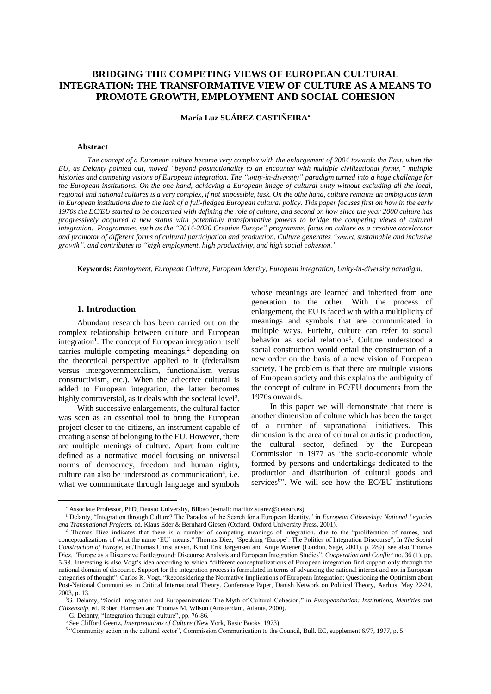# **BRIDGING THE COMPETING VIEWS OF EUROPEAN CULTURAL INTEGRATION: THE TRANSFORMATIVE VIEW OF CULTURE AS A MEANS TO PROMOTE GROWTH, EMPLOYMENT AND SOCIAL COHESION**

**María Luz SUÁREZ CASTIÑEIRA**

#### **Abstract**

The concept of a European culture became very complex with the enlargement of 2004 towards the East, when the EU, as Delanty pointed out, moved "beyond postnationality to an encounter with multiple civilizational forms," multiple histories and competing visions of European integration. The "unity-in-diversity" paradigm turned into a huge challenge for the European institutions. On the one hand, achieving a European image of cultural unity without excluding all the local, regional and national cultures is a very complex, if not impossible, task. On the othe hand, culture remains an ambiguous term in European institutions due to the lack of a full-fledged European cultural policy. This paper focuses first on how in the early 1970s the EC/EU started to be concerned with defining the role of culture, and second on how since the year 2000 culture has progressively acquired a new status with potentially transformative powers to bridge the competing views of cultural integration. Programmes, such as the "2014-2020 Creative Europe" programme, focus on culture as a creative accelerator and promotor of different forms of cultural participation and production. Culture generates "smart, sustainable and inclusive *growth", and contributes to "high employment, high productivity, and high social cohesion."*

**Keywords:** *Employment, European Culture, European identity, European integration, Unity-in-diversity paradigm.*

#### **1. Introduction**

 $\overline{a}$ 

Abundant research has been carried out on the complex relationship between culture and European integration<sup>1</sup>. The concept of European integration itself carries multiple competing meanings, $2$  depending on the theoretical perspective applied to it (federalism versus intergovernmentalism, functionalism versus constructivism, etc.). When the adjective cultural is added to European integration, the latter becomes highly controversial, as it deals with the societal level<sup>3</sup>.

With successive enlargements, the cultural factor was seen as an essential tool to bring the European project closer to the citizens, an instrument capable of creating a sense of belonging to the EU. However, there are multiple menings of culture. Apart from culture defined as a normative model focusing on universal norms of democracy, freedom and human rights, culture can also be understood as communication<sup>4</sup>, i.e. what we communicate through language and symbols

whose meanings are learned and inherited from one generation to the other. With the process of enlargement, the EU is faced with with a multiplicity of meanings and symbols that are communicated in multiple ways. Furtehr, culture can refer to social behavior as social relations<sup>5</sup>. Culture understood a social construction would entail the construction of a new order on the basis of a new vision of European society. The problem is that there are multiple visions of European society and this explains the ambiguity of the concept of culture in EC/EU documents from the 1970s onwards.

In this paper we will demonstrate that there is another dimension of culture which has been the target of a number of supranational initiatives. This dimension is the area of cultural or artistic production, the cultural sector, defined by the European Commission in 1977 as "the socio-economic whole formed by persons and undertakings dedicated to the production and distribution of cultural goods and services<sup>6</sup>". We will see how the EC/EU institutions

Associate Professor, PhD, Deusto University, Bilbao (e-mail: mariluz.suarez@deusto.es)

<sup>1</sup> Delanty, "Integration through Culture? The Paradox of the Search for a European Identity," in *European Citizenship: National Legacies and Transnational Projects,* ed. Klaus Eder & Bernhard Giesen (Oxford, Oxford University Press, 2001).

<sup>2</sup> Thomas Diez indicates that there is a number of competing meanings of integration, due to the "proliferation of names, and conceptualizations of what the name 'EU' means." Thomas Diez, "Speaking 'Europe': The Politics of Integration Discourse", In *The Social Construction of Europe,* ed.Thomas Christiansen, Knud Erik Jørgensen and Antje Wiener (London, Sage, 2001), p. 289); see also Thomas Diez, "Europe as a Discursive Battleground: Discourse Analysis and European Integration Studies". *Cooperation and Conflict* no. 36 (1), pp. 5-38. Interesting is also Vogt's idea according to which "different conceptualizations of European integration find support only through the national domain of discourse. Support for the integration process is formulated in terms of advancing the national interest and not in European categories of thought". Carlos R. Vogt, "Reconsidering the Normative Implications of European Integration: Questioning the Optimism about Post-National Communities in Critical International Theory. Conference Paper, Danish Network on Political Theory, Aarhus, May 22-24, 2003, p. 13.

<sup>3</sup>G. Delanty, "Social Integration and Europeanization: The Myth of Cultural Cohesion," in *Europeanization: Institutions, Identities and Citizenship*, ed. Robert Harmsen and Thomas M. Wilson (Amsterdam, Atlanta, 2000).

<sup>4</sup> G. Delanty, "Integration through culture", pp. 76-86.

<sup>5</sup> See Clifford Geertz, *Interpretations of Culture* (New York, Basic Books, 1973).

<sup>6</sup> "Community action in the cultural sector", Commission Communication to the Council, Bull. EC, supplement 6/77, 1977, p. 5.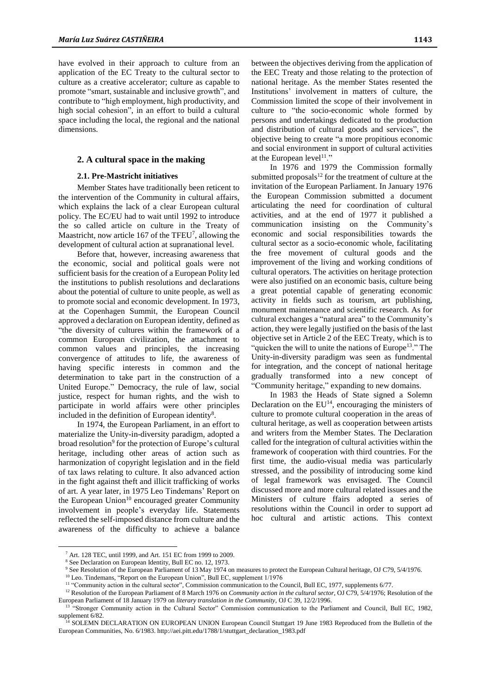have evolved in their approach to culture from an application of the EC Treaty to the cultural sector to culture as a creative accelerator; culture as capable to promote "smart, sustainable and inclusive growth", and contribute to "high employment, high productivity, and high social cohesion", in an effort to build a cultural space including the local, the regional and the national dimensions.

# **2. A cultural space in the making**

### **2.1. Pre-Mastricht initiatives**

Member States have traditionally been reticent to the intervention of the Community in cultural affairs, which explains the lack of a clear European cultural policy. The EC/EU had to wait until 1992 to introduce the so called article on culture in the Treaty of Maastricht, now article 167 of the  $TFEU<sup>7</sup>$ , allowing the development of cultural action at supranational level.

Before that, however, increasing awareness that the economic, social and political goals were not sufficient basis for the creation of a European Polity led the institutions to publish resolutions and declarations about the potential of culture to unite people, as well as to promote social and economic development. In 1973, at the Copenhagen Summit, the European Council approved a declaration on European identity, defined as "the diversity of cultures within the framework of a common European civilization, the attachment to common values and principles, the increasing convergence of attitudes to life, the awareness of having specific interests in common and the determination to take part in the construction of a United Europe." Democracy, the rule of law, social justice, respect for human rights, and the wish to participate in world affairs were other principles included in the definition of European identity $8$ .

In 1974, the European Parliament, in an effort to materialize the Unity-in-diversity paradigm, adopted a broad resolution<sup>9</sup> for the protection of Europe's cultural heritage, including other areas of action such as harmonization of copyright legislation and in the field of tax laws relating to culture. It also advanced action in the fight against theft and illicit trafficking of works of art. A year later, in 1975 Leo Tindemans' Report on the European Union<sup>10</sup> encouraged greater Community involvement in people's everyday life. Statements reflected the self-imposed distance from culture and the awareness of the difficulty to achieve a balance between the objectives deriving from the application of the EEC Treaty and those relating to the protection of national heritage. As the member States resented the Institutions' involvement in matters of culture, the Commission limited the scope of their involvement in culture to "the socio-economic whole formed by persons and undertakings dedicated to the production and distribution of cultural goods and services", the objective being to create "a more propitious economic and social environment in support of cultural activities at the European level<sup>11</sup>."

In 1976 and 1979 the Commission formally submitted proposals $^{12}$  for the treatment of culture at the invitation of the European Parliament. In January 1976 the European Commission submitted a document articulating the need for coordination of cultural activities, and at the end of 1977 it published a communication insisting on the Community's economic and social responsibilities towards the cultural sector as a socio-economic whole, facilitating the free movement of cultural goods and the improvement of the living and working conditions of cultural operators. The activities on heritage protection were also justified on an economic basis, culture being a great potential capable of generating economic activity in fields such as tourism, art publishing, monument maintenance and scientific research. As for cultural exchanges a "natural area" to the Community's action, they were legally justified on the basis of the last objective set in Article 2 of the EEC Treaty, which is to "quicken the will to unite the nations of Europe<sup>13</sup>." The Unity-in-diversity paradigm was seen as fundmental for integration, and the concept of national heritage gradually transformed into a new concept of "Community heritage," expanding to new domains.

In 1983 the Heads of State signed a Solemn Declaration on the  $EU<sup>14</sup>$ , encouraging the ministers of culture to promote cultural cooperation in the areas of cultural heritage, as well as cooperation between artists and writers from the Member States. The Declaration called for the integration of cultural activities within the framework of cooperation with third countries. For the first time, the audio-visual media was particularly stressed, and the possibility of introducing some kind of legal framework was envisaged. The Council discussed more and more cultural related issues and the Ministers of culture ffairs adopted a series of resolutions within the Council in order to support ad hoc cultural and artistic actions. This context

 $\overline{a}$ 

<sup>7</sup> Art. 128 TEC, until 1999, and Art. 151 EC from 1999 to 2009.

<sup>8</sup> See Declaration on European Identity, Bull EC no. 12, 1973.

<sup>9</sup> See Resolution of the European Parliament of 13 May 1974 on measures to protect the European Cultural heritage, OJ C79, 5/4/1976.

<sup>&</sup>lt;sup>10</sup> Leo. Tindemans, "Report on the European Union", Bull EC, supplement 1/1976

<sup>&</sup>lt;sup>11</sup> "Community action in the cultural sector", Commission communication to the Council, Bull EC, 1977, supplements 6/77.

<sup>&</sup>lt;sup>12</sup> Resolution of the European Parliament of 8 March 1976 on *Community action in the cultural sector*, OJ C79, 5/4/1976; Resolution of the European Parliament of 18 January 1979 on *literary translation in the Community,* OJ C 39, 12/2/1996.

<sup>&</sup>lt;sup>13</sup> "Stronger Community action in the Cultural Sector" Commission communication to the Parliament and Council, Bull EC, 1982, supplement 6/82.

<sup>&</sup>lt;sup>14</sup> SOLEMN DECLARATION ON EUROPEAN UNION European Council Stuttgart 19 June 1983 Reproduced from the Bulletin of the European Communities, No. 6/1983. http://aei.pitt.edu/1788/1/stuttgart\_declaration\_1983.pdf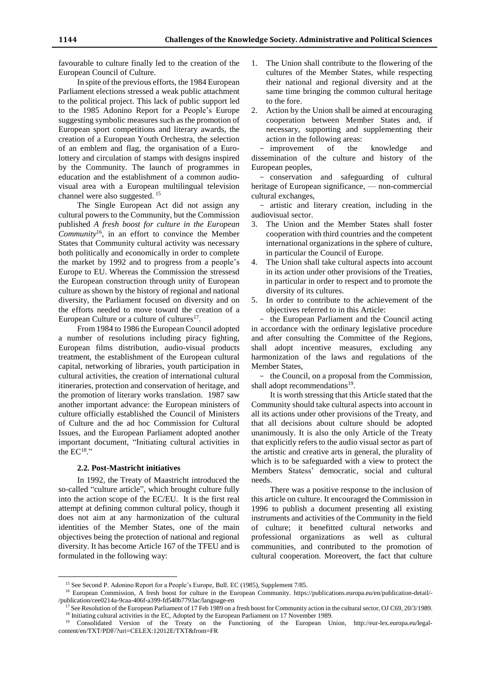favourable to culture finally led to the creation of the European Council of Culture.

In spite of the previous efforts, the 1984 European Parliament elections stressed a weak public attachment to the political project. This lack of public support led to the 1985 Adonino Report for a People's Europe suggesting symbolic measures such as the promotion of European sport competitions and literary awards, the creation of a European Youth Orchestra, the selection of an emblem and flag, the organisation of a Eurolottery and circulation of stamps with designs inspired by the Community. The launch of programmes in education and the establishment of a common audiovisual area with a European multilingual television channel were also suggested.<sup>15</sup>

The Single European Act did not assign any cultural powers to the Community, but the Commission published *A fresh boost for culture in the European Community*<sup>16</sup> , in an effort to convince the Member States that Community cultural activity was necessary both politically and economically in order to complete the market by 1992 and to progress from a people's Europe to EU. Whereas the Commission the stressesd the European construction through unity of European culture as shown by the history of regional and national diversity, the Parliament focused on diversity and on the efforts needed to move toward the creation of a European Culture or a culture of cultures<sup>17</sup>.

From 1984 to 1986 the European Council adopted a number of resolutions including piracy fighting, European films distribution, audio-visual products treatment, the establishment of the European cultural capital, networking of libraries, youth participation in cultural activities, the creation of international cultural itineraries, protection and conservation of heritage, and the promotion of literary works translation. 1987 saw another important advance: the European ministers of culture officially established the Council of Ministers of Culture and the ad hoc Commission for Cultural Issues, and the European Parliament adopted another important document, "Initiating cultural activities in the  $EC^{18}$ ."

### **2.2. Post-Mastricht initiatives**

 $\overline{a}$ 

In 1992, the Treaty of Maastricht introduced the so-called "culture article", which brought culture fully into the action scope of the EC/EU. It is the first real attempt at defining common cultural policy, though it does not aim at any harmonization of the cultural identities of the Member States, one of the main objectives being the protection of national and regional diversity. It has become Article 167 of the TFEU and is formulated in the following way:

- 1. The Union shall contribute to the flowering of the cultures of the Member States, while respecting their national and regional diversity and at the same time bringing the common cultural heritage to the fore.
- 2. Action by the Union shall be aimed at encouraging cooperation between Member States and, if necessary, supporting and supplementing their action in the following areas:

- improvement of the knowledge and dissemination of the culture and history of the European peoples,

- conservation and safeguarding of cultural heritage of European significance, — non-commercial cultural exchanges,

- artistic and literary creation, including in the audiovisual sector.

- 3. The Union and the Member States shall foster cooperation with third countries and the competent international organizations in the sphere of culture, in particular the Council of Europe.
- 4. The Union shall take cultural aspects into account in its action under other provisions of the Treaties, in particular in order to respect and to promote the diversity of its cultures.
- 5. In order to contribute to the achievement of the objectives referred to in this Article:

- the European Parliament and the Council acting in accordance with the ordinary legislative procedure and after consulting the Committee of the Regions, shall adopt incentive measures, excluding any harmonization of the laws and regulations of the Member States,

- the Council, on a proposal from the Commission, shall adopt recommendations<sup>19</sup>.

It is worth stressing that this Article stated that the Community should take cultural aspects into account in all its actions under other provisions of the Treaty, and that all decisions about culture should be adopted unanimously. It is also the only Article of the Treaty that explicitly refers to the audio visual sector as part of the artistic and creative arts in general, the plurality of which is to be safeguarded with a view to protect the Members Statess' democratic, social and cultural needs.

There was a positive response to the inclusion of this article on culture. It encouraged the Commission in 1996 to publish a document presenting all existing instruments and activities of the Community in the field of culture; it benefitted cultural networks and professional organizations as well as cultural communities, and contributed to the promotion of cultural cooperation. Moreovert, the fact that culture

<sup>&</sup>lt;sup>15</sup> See Second P. Adonino Report for a People's Europe, Bull. EC (1985), Supplement 7/85.

<sup>&</sup>lt;sup>16</sup> European Commission, A fresh boost for culture in the European Community. https://publications.europa.eu/en/publication-detail/-/publication/cee0214a-9caa-406f-a399-fd540b7793ac/language-en

<sup>&</sup>lt;sup>17</sup> See Resolution of the European Parliament of 17 Feb 1989 on a fresh boost for Community action in the cultural sector, OJ C69, 20/3/1989. <sup>18</sup> Initiating cultural activities in the EC, Adopted by the European Parliament on 17 November 1989.

<sup>&</sup>lt;sup>19</sup> Consolidated Version of the Treaty on the Functioning of the European Union, http://eur-lex.europa.eu/legalcontent/en/TXT/PDF/?uri=CELEX:12012E/TXT&from=FR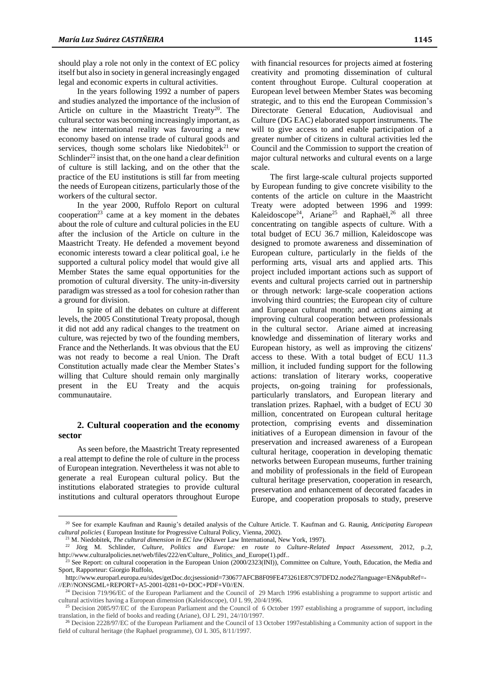should play a role not only in the context of EC policy itself but also in society in general increasingly engaged legal and economic experts in cultural activities.

In the years following 1992 a number of papers and studies analyzed the importance of the inclusion of Article on culture in the Maastricht Treaty<sup>20</sup>. The cultural sector was becoming increasingly important, as the new international reality was favouring a new economy based on intense trade of cultural goods and services, though some scholars like Niedobitek<sup>21</sup> or Schlinder<sup>22</sup> insist that, on the one hand a clear definition of culture is still lacking, and on the other that the practice of the EU institutions is still far from meeting the needs of European citizens, particularly those of the workers of the cultural sector.

In the year 2000, Ruffolo Report on cultural cooperation<sup>23</sup> came at a key moment in the debates about the role of culture and cultural policies in the EU after the inclusion of the Article on culture in the Maastricht Treaty. He defended a movement beyond economic interests toward a clear political goal, i.e he supported a cultural policy model that would give all Member States the same equal opportunities for the promotion of cultural diversity. The unity-in-diversity paradigm was stressed as a tool for cohesion rather than a ground for division.

In spite of all the debates on culture at different levels, the 2005 Constitutional Treaty proposal, though it did not add any radical changes to the treatment on culture, was rejected by two of the founding members, France and the Netherlands. It was obvious that the EU was not ready to become a real Union. The Draft Constitution actually made clear the Member States's willing that Culture should remain only marginally present in the EU Treaty and the acquis communautaire.

## **2. Cultural cooperation and the economy sector**

As seen before, the Maastricht Treaty represented a real attempt to define the role of culture in the process of European integration. Nevertheless it was not able to generate a real European cultural policy. But the institutions elaborated strategies to provide cultural institutions and cultural operators throughout Europe

 $\overline{a}$ 

with financial resources for projects aimed at fostering creativity and promoting dissemination of cultural content throughout Europe. Cultural cooperation at European level between Member States was becoming strategic, and to this end the European Commission's Directorate General Education, Audiovisual and Culture (DG EAC) elaborated support instruments. The will to give access to and enable participation of a greater number of citizens in cultural activities led the Council and the Commission to support the creation of major cultural networks and cultural events on a large scale.

The first large-scale cultural projects supported by European funding to give concrete visibility to the contents of the article on culture in the Maastricht Treaty were adopted between 1996 and 1999: Kaleidoscope<sup>24</sup>, Ariane<sup>25</sup> and Raphaël,<sup>26</sup> all three concentrating on tangible aspects of culture. With a total budget of ECU 36.7 million, Kaleidoscope was designed to promote awareness and dissemination of European culture, particularly in the fields of the performing arts, visual arts and applied arts. This project included important actions such as support of events and cultural projects carried out in partnership or through network: large-scale cooperation actions involving third countries; the European city of culture and European cultural month; and actions aiming at improving cultural cooperation between professionals in the cultural sector. Ariane aimed at increasing knowledge and dissemination of literary works and European history, as well as improving the citizens' access to these. With a total budget of ECU 11.3 million, it included funding support for the following actions: translation of literary works, cooperative projects, on-going training for professionals, particularly translators, and European literary and translation prizes. Raphael, with a budget of ECU 30 million, concentrated on European cultural heritage protection, comprising events and dissemination initiatives of a European dimension in favour of the preservation and increased awareness of a European cultural heritage, cooperation in developing thematic networks between European museums, further training and mobility of professionals in the field of European cultural heritage preservation, cooperation in research, preservation and enhancement of decorated facades in Europe, and cooperation proposals to study, preserve

<sup>20</sup> See for example Kaufman and Raunig's detailed analysis of the Culture Article. T. Kaufman and G. Raunig, *Anticipating European cultural policies* ( European Institute for Progressive Cultural Policy, Vienna, 2002).

<sup>21</sup> M. Niedobitek, *The cultural dimension in EC law* (Kluwer Law International, New York, 1997).

<sup>22</sup> Jörg M. Schlinder, *Culture, Politics and Europe: en route to Culture-Related Impact Assessment*, 2012, p..2, http://www.culturalpolicies.net/web/files/222/en/Culture,\_Politics\_and\_Europe(1).pdf..

See Report: on cultural cooperation in the European Union (2000/2323(INI)), Committee on Culture, Youth, Education, the Media and Sport, Rapporteur: Giorgio Ruffolo,

http://www.europarl.europa.eu/sides/getDoc.do;jsessionid=730677AFCB8F09FE473261E87C97DFD2.node2?language=EN&pubRef=- //EP//NONSGML+REPORT+A5-2001-0281+0+DOC+PDF+V0//EN.

<sup>&</sup>lt;sup>24</sup> Decision 719/96/EC of the European Parliament and the Council of 29 March 1996 establishing a programme to support artistic and cultural activities having a European dimension (Kaleidoscope), OJ L 99, 20/4/1996.

<sup>&</sup>lt;sup>25</sup> Decision 2085/97/EC of the European Parliament and the Council of 6 October 1997 establishing a programme of support, including translation, in the field of books and reading (Ariane), OJ L 291, 24//10/1997.

<sup>&</sup>lt;sup>26</sup> Decision 2228/97/EC of the European Parliament and the Council of 13 October 1997establishing a Community action of support in the field of cultural heritage (the Raphael programme), OJ L 305, 8/11/1997.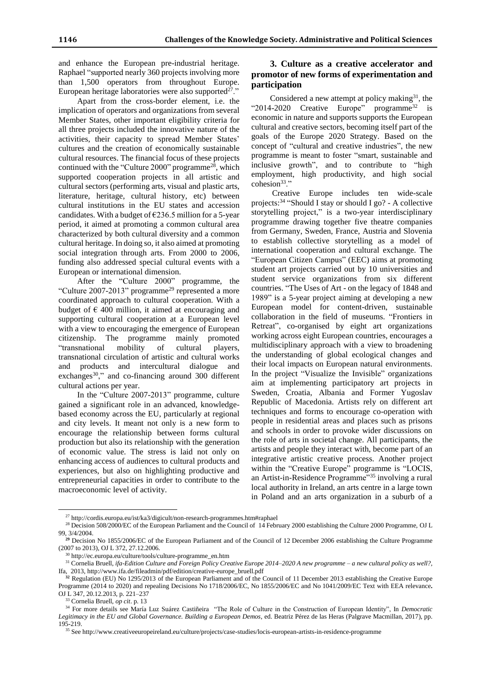and enhance the European pre-industrial heritage. Raphael "supported nearly 360 projects involving more than 1,500 operators from throughout Europe. European heritage laboratories were also supported<sup>27</sup>."

Apart from the cross-border element, i.e. the implication of operators and organizations from several Member States, other important eligibility criteria for all three projects included the innovative nature of the activities, their capacity to spread Member States' cultures and the creation of economically sustainable cultural resources. The financial focus of these projects continued with the "Culture 2000" programme<sup>28</sup>, which supported cooperation projects in all artistic and cultural sectors (performing arts, visual and plastic arts, literature, heritage, cultural history, etc) between cultural institutions in the EU states and accession candidates. With a budget of  $\epsilon$ 236.5 million for a 5-year period, it aimed at promoting a common cultural area characterized by both cultural diversity and a common cultural heritage. In doing so, it also aimed at promoting social integration through arts. From 2000 to 2006, funding also addressed special cultural events with a European or international dimension.

After the "Culture 2000" programme, the "Culture 2007-2013" programme<sup>29</sup> represented a more coordinated approach to cultural cooperation. With a budget of  $\epsilon$  400 million, it aimed at encouraging and supporting cultural cooperation at a European level with a view to encouraging the emergence of European citizenship. The programme mainly promoted "transnational mobility of cultural players, transnational circulation of artistic and cultural works and products and intercultural dialogue and exchanges $30$ ," and co-financing around 300 different cultural actions per year.

In the "Culture 2007-2013" programme, culture gained a significant role in an advanced, knowledgebased economy across the EU, particularly at regional and city levels. It meant not only is a new form to encourage the relationship between forms cultural production but also its relationship with the generation of economic value. The stress is laid not only on enhancing access of audiences to cultural products and experiences, but also on highlighting productive and entrepreneurial capacities in order to contribute to the macroeconomic level of activity.

# **3. Culture as a creative accelerator and promotor of new forms of experimentation and participation**

Considered a new attempt at policy making $31$ , the "2014-2020 Creative Europe" programme<sup>32</sup> is economic in nature and supports supports the European cultural and creative sectors, becoming itself part of the goals of the Europe 2020 Strategy. Based on the concept of "cultural and creative industries", the new programme is meant to foster "smart, sustainable and inclusive growth", and to contribute to "high employment, high productivity, and high social cohesion<sup>33</sup>."

Creative Europe includes ten wide-scale projects:<sup>34</sup> "Should I stay or should I go? - A collective storytelling project," is a two-year interdisciplinary programme drawing together five theatre companies from Germany, Sweden, France, Austria and Slovenia to establish collective storytelling as a model of international cooperation and cultural exchange. The "European Citizen Campus" (EEC) aims at promoting student art projects carried out by 10 universities and student service organizations from six different countries. "The Uses of Art - on the legacy of 1848 and 1989" is a 5-year project aiming at developing a new European model for content-driven, sustainable collaboration in the field of museums. "Frontiers in Retreat", co-organised by eight art organizations working across eight European countries, encourages a multidisciplinary approach with a view to broadening the understanding of global ecological changes and their local impacts on European natural environments. In the project "Visualize the Invisible" organizations aim at implementing participatory art projects in Sweden, Croatia, Albania and Former Yugoslav Republic of Macedonia. Artists rely on different art techniques and forms to encourage co-operation with people in residential areas and places such as prisons and schools in order to provoke wider discussions on the role of arts in societal change. All participants, the artists and people they interact with, become part of an integrative artistic creative process. Another project within the "Creative Europe" programme is "LOCIS, an Artist-in-Residence Programme"<sup>35</sup> involving a rural local authority in Ireland, an arts centre in a large town in Poland and an arts organization in a suburb of a

 $\overline{a}$ 

<sup>27</sup> http://cordis.europa.eu/ist/ka3/digicult/non-research-programmes.htm#raphael

<sup>&</sup>lt;sup>28</sup> Decision 508/2000/EC of the European Parliament and the Council of 14 February 2000 establishing the Culture 2000 Programme, OJ L 99, 3/4/2004.

**<sup>29</sup>** Decision No 1855/2006/EC of the European Parliament and of the Council of 12 December 2006 establishing the Culture Programme (2007 to 2013), OJ L 372, 27.12.2006.

 $^{0}$  http://ec.europa.eu/culture/tools/culture-programme\_en.htm

<sup>31</sup> Cornelia Bruell, *ifa-Edition Culture and Foreign Policy Creative Europe 2014–2020 A new programme – a new cultural policy as well?,*  Ifa, 2013, http://www.ifa.de/fileadmin/pdf/edition/creative-europe\_bruell.pdf

**<sup>32</sup>** Regulation (EU) No 1295/2013 of the European Parliament and of the Council of 11 December 2013 establishing the Creative Europe Programme (2014 to 2020) and repealing Decisions No 1718/2006/EC, No 1855/2006/EC and No 1041/2009/EC Text with EEA relevance**.** OJ L 347, 20.12.2013, p. 221–237

<sup>33</sup> Cornelia Bruell, *op cit*. p. 13

<sup>34</sup> For more details see María Luz Suárez Castiñeira "The Role of Culture in the Construction of European Identity", In *Democratic Legitimacy in the EU and Global Governance. Building a European Demos*, ed. Beatriz Pérez de las Heras (Palgrave Macmillan, 2017), pp. 195-219.

<sup>35</sup> See http://www.creativeeuropeireland.eu/culture/projects/case-studies/locis-european-artists-in-residence-programme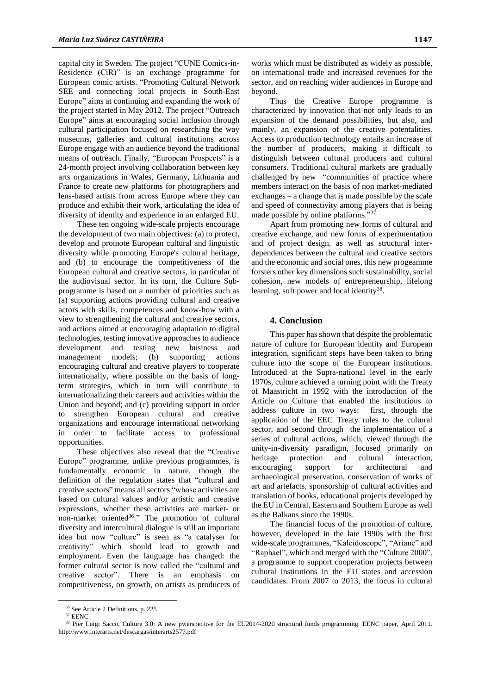capital city in Sweden. The project "CUNE Comics-in-Residence (CiR)" is an exchange programme for European comic artists. "Promoting Cultural Network SEE and connecting local projects in South-East Europe" aims at continuing and expanding the work of the project started in May 2012. The project "Outreach Europe" aims at encouraging social inclusion through cultural participation focused on researching the way museums, galleries and cultural institutions across Europe engage with an audience beyond the traditional means of outreach. Finally, "European Prospects" is a 24-month project involving collaboration between key arts organizations in Wales, Germany, Lithuania and France to create new platforms for photographers and lens-based artists from across Europe where they can produce and exhibit their work, articulating the idea of diversity of identity and experience in an enlarged EU.

These ten ongoing wide-scale projects encourage the development of two main objectives: (a) to protect, develop and promote European cultural and linguistic diversity while promoting Europe's cultural heritage, and (b) to encourage the competitiveness of the European cultural and creative sectors, in particular of the audiovisual sector. In its turn, the Culture Subprogramme is based on a number of priorities such as (a) supporting actions providing cultural and creative actors with skills, competences and know-how with a view to strengthening the cultural and creative sectors, and actions aimed at encouraging adaptation to digital technologies, testing innovative approaches to audience development and testing new business and management models; (b) supporting actions encouraging cultural and creative players to cooperate internationally, where possible on the basis of longterm strategies, which in turn will contribute to internationalizing their careers and activities within the Union and beyond; and (c) providing support in order to strengthen European cultural and creative organizations and encourage international networking in order to facilitate access to professional opportunities.

These objectives also reveal that the "Creative Europe" programme, unlike previous programmes, is fundamentally economic in nature, though the definition of the regulation states that "cultural and creative sectors" means all sectors "whose activities are based on cultural values and/or artistic and creative expressions, whether these activities are market- or non-market oriented<sup>36</sup>." The promotion of cultural diversity and intercultural dialogue is still an important idea but now "culture" is seen as "a catalyser for creativity" which should lead to growth and employment. Even the language has changed: the former cultural sector is now called the "cultural and creative sector". There is an emphasis on competitiveness, on growth, on artists as producers of

works which must be distributed as widely as possible, on international trade and increased revenues for the sector, and on reaching wider audiences in Europe and beyond.

Thus the Creative Europe programme is characterized by innovation that not only leads to an expansion of the demand possibilities, but also, and mainly, an expansion of the creative potentalities. Access to production technology entails an increase of the number of producers, making it difficult to distinguish between cultural producers and cultural consumers. Traditional cultural markets are gradually challenged by new "communities of practice where members interact on the basis of non market-mediated exchanges – a change that is made possible by the scale and speed of connectivity among players that is being made possible by online platforms."<sup>37</sup>

Apart from promoting new forms of cultural and creative exchange, and new forms of experimentation and of project design, as well as structural interdependences between the cultural and creative sectors and the economic and social ones, this new progeamme forsters other key dimensions such sustainability, social cohesion, new models of entrepreneurship, lifelong learning, soft power and local identity<sup>38</sup>.

#### **4. Conclusion**

This paper has shown that despite the problematic nature of culture for European identity and European integration, significant steps have been taken to bring culture into the scope of the European institutions. Introduced at the Supra-national level in the early 1970s, culture achieved a turning point with the Treaty of Maastricht in 1992 with the introduction of the Article on Culture that enabled the institutions to address culture in two ways: first, through the application of the EEC Treaty rules to the cultural sector, and second through the implementation of a series of cultural actions, which, viewed through the unity-in-diversity paradigm, focused primarily on heritage protection and cultural interaction, encouraging support for architectural and archaeological preservation, conservation of works of art and artefacts, sponsorship of cultural activities and translation of books, educational projects developed by the EU in Central, Eastern and Southern Europe as well as the Balkans since the 1990s.

The financial focus of the promotion of culture, however, developed in the late 1990s with the first wide-scale programmes, "Kaleidoscope", "Ariane" and "Raphael", which and merged with the "Culture 2000", a programme to support cooperation projects between cultural institutions in the EU states and accession candidates. From 2007 to 2013, the focus in cultural

 $\overline{a}$ 

<sup>36</sup> See Article 2 Definitions, p. 225

<sup>&</sup>lt;sup>37</sup> EENC

<sup>38</sup> Pier Luigi Sacco, Culture 3.0: A new pwerspective for the EU2014-2020 structural funds programming. EENC paper, April 2011. http://www.interarts.net/descargas/interarts2577.pdf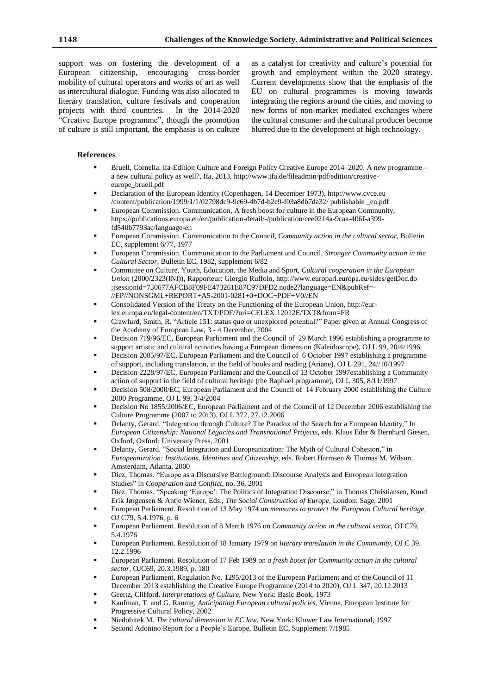support was on fostering the development of a European citizenship, encouraging cross-border mobility of cultural operators and works of art as well as intercultural dialogue. Funding was also allocated to literary translation, culture festivals and cooperation projects with third countries. In the 2014-2020 "Creative Europe programme", though the promotion of culture is still important, the emphasis is on culture

as a catalyst for creativity and culture's potential for growth and employment within the 2020 strategy. Current developments show that the emphasis of the EU on cultural programmes is moving towards integrating the regions around the cities, and moving to new forms of non-market mediated exchanges where the cultural consumer and the cultural producer become blurred due to the development of high technology.

## **References**

- Bruell, Cornelia. ifa-Edition Culture and Foreign Policy Creative Europe 2014–2020. A new programme a new cultural policy as well?, Ifa, 2013, http://www.ifa.de/fileadmin/pdf/edition/creativeeurope\_bruell.pdf
- Declaration of the European Identity (Copenhagen, 14 December 1973), http://www.cvce.eu /content/publication/1999/1/1/02798dc9-9c69-4b7d-b2c9-f03a8db7da32/ publishable \_en.pdf
- European Commission. Communication, A fresh boost for culture in the European Community, https://publications.europa.eu/en/publication-detail/-/publication/cee0214a-9caa-406f-a399 fd540b7793ac/language-en
- European Commission. Communication to the Council, *Community action in the cultural sector*, Bulletin EC, supplement 6/77, 1977
- European Commission. Communication to the Parliament and Council, *Stronger Community action in the Cultural Sector*, Bulletin EC, 1982, supplement 6/82
- Committee on Culture, Youth, Education, the Media and Sport, *Cultural cooperation in the European Union* (2000/2323(INI)), Rapporteur: Giorgio Ruffolo, http://www.europarl.europa.eu/sides/getDoc.do ;jsessionid=730677AFCB8F09FE473261E87C97DFD2.node2?language=EN&pubRef=- //EP//NONSGML+REPORT+A5-2001-0281+0+DOC+PDF+V0//EN
- Consolidated Version of the Treaty on the Functioning of the European Union, http://eurlex.europa.eu/legal-content/en/TXT/PDF/?uri=CELEX:12012E/TXT&from=FR
- Crawfurd, Smith, R. "Article 151: status quo or unexplored potential?" Paper given at Annual Congress of the Academy of European Law, 3 - 4 December, 2004
- Decision 719/96/EC, European Parliament and the Council of 29 March 1996 establishing a programme to support artistic and cultural activities having a European dimension (Kaleidoscope), OJ L 99, 20/4/1996
- Decision 2085/97/EC, European Parliament and the Council of 6 October 1997 establishing a programme of support, including translation, in the field of books and reading (Ariane), OJ L 291, 24//10/1997
- Decision 2228/97/EC, European Parliament and the Council of 13 October 1997establishing a Community action of support in the field of cultural heritage (the Raphael programme), OJ L 305, 8/11/1997
- Decision 508/2000/EC, European Parliament and the Council of 14 February 2000 establishing the Culture 2000 Programme, OJ L 99, 3/4/2004
- Decision No 1855/2006/EC, European Parliament and of the Council of 12 December 2006 establishing the Culture Programme (2007 to 2013), OJ L 372, 27.12.2006
- Delanty, Gerard. "Integration through Culture? The Paradox of the Search for a European Identity," In *European Citizenship: National Legacies and Transnational Projects*, eds. Klaus Eder & Bernhard Giesen, Oxford, Oxford: University Press, 2001
- Delanty, Gerard. "Social Integration and Europeanization: The Myth of Cultural Cohesion," in *Europeanization: Institutions, Identities and Citizenship*, eds. Robert Harmsen & Thomas M. Wilson, Amsterdam, Atlanta, 2000
- Diez, Thomas. "Europe as a Discursive Battleground: Discourse Analysis and European Integration Studies" in *Cooperation and Conflict,* no. 36, 2001
- Diez, Thomas. "Speaking 'Europe': The Politics of Integration Discourse," in Thomas Christiansen, Knud Erik Jørgensen & Antje Wiener, Eds., *The Social Construction of Europe*, London: Sage, 2001
- European Parliament. Resolution of 13 May 1974 on *measures to protect the European Cultural heritage*, OJ C79, 5.4.1976, p. 6
- European Parliament. Resolution of 8 March 1976 on *Community action in the cultural sector*, OJ C79, 5.4.1976
- European Parliament. Resolution of 18 January 1979 on *literary translation in the Community*, OJ C 39, 12.2.1996
- European Parliament. Resolution of 17 Feb 1989 on *a fresh boost for Community action in the cultural sector*, OJC69, 20.3.1989, p. 180
- European Parliament. Regulation No. 1295/2013 of the European Parliament and of the Council of 11 December 2013 establishing the Creative Europe Programme (2014 to 2020), OJ L 347, 20.12.2013
- Geertz, Clifford. *Interpretations of Culture*, New York: Basic Book, 1973
- Kaufman, T. and G. Raunig, *Anticipating European cultural policies*, Vienna, European Institute for Progressive Cultural Policy, 2002
- Niedobitek M. *The cultural dimension in EC law*, New York: Kluwer Law International, 1997
- Second Adonino Report for a People's Europe, Bulletin EC, Supplement 7/1985